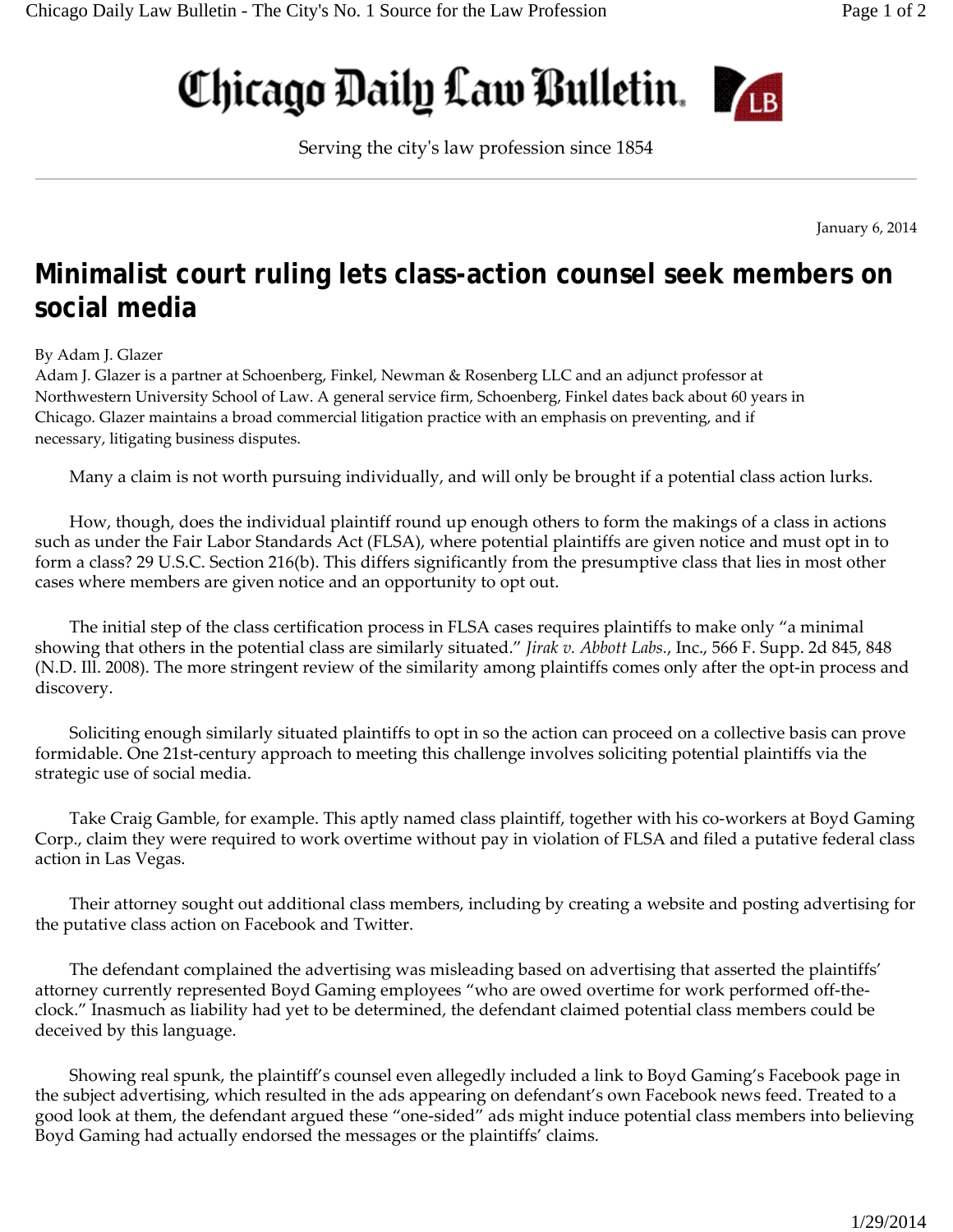## Chicago Daily Law Bulletin.



Serving the cityʹs law profession since 1854

January 6, 2014

## **Minimalist court ruling lets class-action counsel seek members on social media**

## By Adam J. Glazer

Adam J. Glazer is a partner at Schoenberg, Finkel, Newman & Rosenberg LLC and an adjunct professor at Northwestern University School of Law. A general service firm, Schoenberg, Finkel dates back about 60 years in Chicago. Glazer maintains a broad commercial litigation practice with an emphasis on preventing, and if necessary, litigating business disputes.

Many a claim is not worth pursuing individually, and will only be brought if a potential class action lurks.

How, though, does the individual plaintiff round up enough others to form the makings of a class in actions such as under the Fair Labor Standards Act (FLSA), where potential plaintiffs are given notice and must opt in to form a class? 29 U.S.C. Section 216(b). This differs significantly from the presumptive class that lies in most other cases where members are given notice and an opportunity to opt out.

The initial step of the class certification process in FLSA cases requires plaintiffs to make only "a minimal showing that others in the potential class are similarly situated." *Jirak v. Abbott Labs.*, Inc., 566 F. Supp. 2d 845, 848 (N.D. Ill. 2008). The more stringent review of the similarity among plaintiffs comes only after the opt‐in process and discovery.

Soliciting enough similarly situated plaintiffs to opt in so the action can proceed on a collective basis can prove formidable. One 21st-century approach to meeting this challenge involves soliciting potential plaintiffs via the strategic use of social media.

Take Craig Gamble, for example. This aptly named class plaintiff, together with his co-workers at Boyd Gaming Corp., claim they were required to work overtime without pay in violation of FLSA and filed a putative federal class action in Las Vegas.

Their attorney sought out additional class members, including by creating a website and posting advertising for the putative class action on Facebook and Twitter.

The defendant complained the advertising was misleading based on advertising that asserted the plaintiffs' attorney currently represented Boyd Gaming employees "who are owed overtime for work performed off‐the‐ clock." Inasmuch as liability had yet to be determined, the defendant claimed potential class members could be deceived by this language.

Showing real spunk, the plaintiff's counsel even allegedly included a link to Boyd Gaming's Facebook page in the subject advertising, which resulted in the ads appearing on defendant's own Facebook news feed. Treated to a good look at them, the defendant argued these "one‐sided" ads might induce potential class members into believing Boyd Gaming had actually endorsed the messages or the plaintiffs' claims.